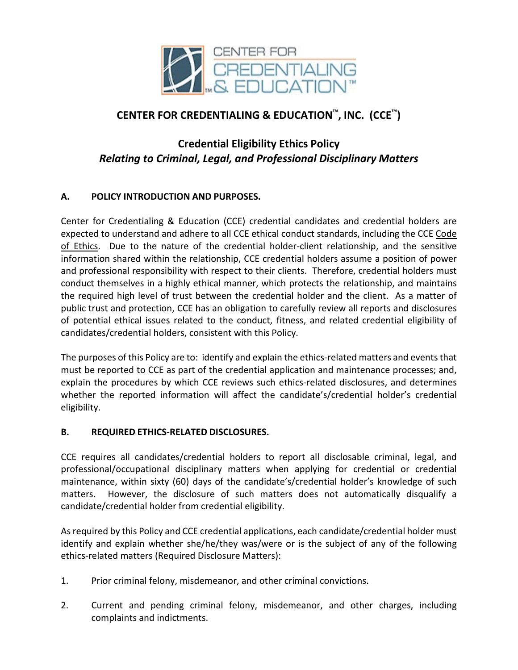

## **CENTER FOR CREDENTIALING & EDUCATION™, INC. (CCE™)**

# **Credential Eligibility Ethics Policy** *Relating to Criminal, Legal, and Professional Disciplinary Matters*

## **A. POLICY INTRODUCTION AND PURPOSES.**

Center for Credentialing & Education (CCE) credential candidates and credential holders are expected to understand and adhere to all CCE ethical conduct standards, including the CCE Code of Ethics. Due to the nature of the credential holder-client relationship, and the sensitive information shared within the relationship, CCE credential holders assume a position of power and professional responsibility with respect to their clients. Therefore, credential holders must conduct themselves in a highly ethical manner, which protects the relationship, and maintains the required high level of trust between the credential holder and the client. As a matter of public trust and protection, CCE has an obligation to carefully review all reports and disclosures of potential ethical issues related to the conduct, fitness, and related credential eligibility of candidates/credential holders, consistent with this Policy.

The purposes of this Policy are to: identify and explain the ethics-related matters and events that must be reported to CCE as part of the credential application and maintenance processes; and, explain the procedures by which CCE reviews such ethics-related disclosures, and determines whether the reported information will affect the candidate's/credential holder's credential eligibility.

## **B. REQUIRED ETHICS-RELATED DISCLOSURES.**

CCE requires all candidates/credential holders to report all disclosable criminal, legal, and professional/occupational disciplinary matters when applying for credential or credential maintenance, within sixty (60) days of the candidate's/credential holder's knowledge of such matters. However, the disclosure of such matters does not automatically disqualify a candidate/credential holder from credential eligibility.

As required by this Policy and CCE credential applications, each candidate/credential holder must identify and explain whether she/he/they was/were or is the subject of any of the following ethics-related matters (Required Disclosure Matters):

- 1. Prior criminal felony, misdemeanor, and other criminal convictions.
- 2. Current and pending criminal felony, misdemeanor, and other charges, including complaints and indictments.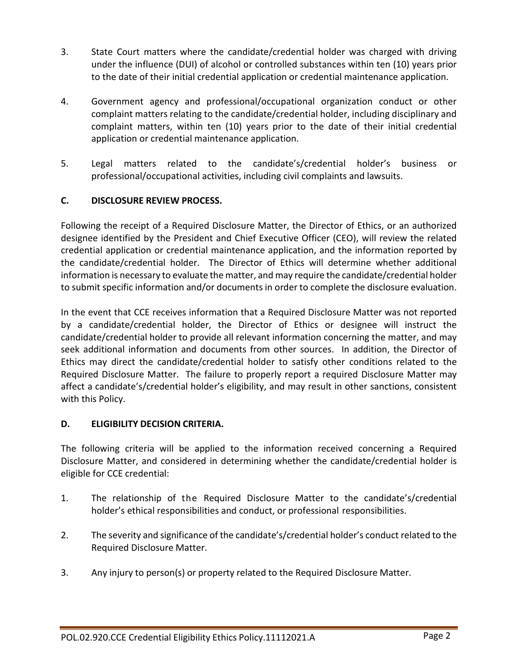- 3. State Court matters where the candidate/credential holder was charged with driving under the influence (DUI) of alcohol or controlled substances within ten (10) years prior to the date of their initial credential application or credential maintenance application.
- 4. Government agency and professional/occupational organization conduct or other complaint matters relating to the candidate/credential holder, including disciplinary and complaint matters, within ten (10) years prior to the date of their initial credential application or credential maintenance application.
- 5. Legal matters related to the candidate's/credential holder's business or professional/occupational activities, including civil complaints and lawsuits.

## **C. DISCLOSURE REVIEW PROCESS.**

Following the receipt of a Required Disclosure Matter, the Director of Ethics, or an authorized designee identified by the President and Chief Executive Officer (CEO), will review the related credential application or credential maintenance application, and the information reported by the candidate/credential holder. The Director of Ethics will determine whether additional information is necessary to evaluate the matter, and may require the candidate/credential holder to submit specific information and/or documents in order to complete the disclosure evaluation.

In the event that CCE receives information that a Required Disclosure Matter was not reported by a candidate/credential holder, the Director of Ethics or designee will instruct the candidate/credential holder to provide all relevant information concerning the matter, and may seek additional information and documents from other sources. In addition, the Director of Ethics may direct the candidate/credential holder to satisfy other conditions related to the Required Disclosure Matter. The failure to properly report a required Disclosure Matter may affect a candidate's/credential holder's eligibility, and may result in other sanctions, consistent with this Policy.

## **D. ELIGIBILITY DECISION CRITERIA.**

The following criteria will be applied to the information received concerning a Required Disclosure Matter, and considered in determining whether the candidate/credential holder is eligible for CCE credential:

- 1. The relationship of the Required Disclosure Matter to the candidate's/credential holder's ethical responsibilities and conduct, or professional responsibilities.
- 2. The severity and significance of the candidate's/credential holder's conduct related to the Required Disclosure Matter.
- 3. Any injury to person(s) or property related to the Required Disclosure Matter.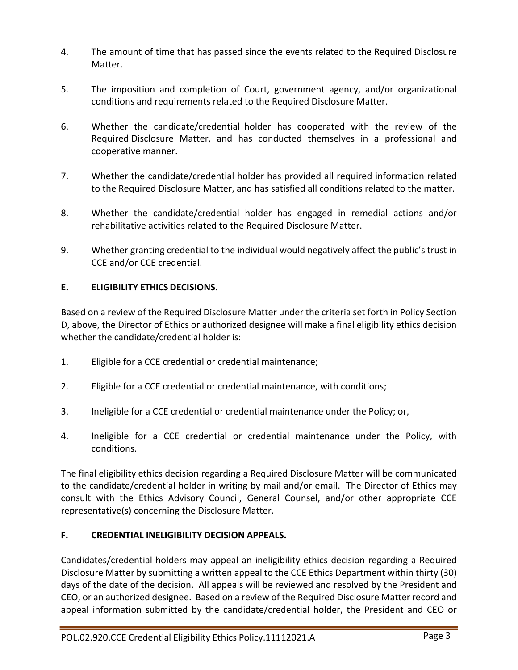- 4. The amount of time that has passed since the events related to the Required Disclosure Matter.
- 5. The imposition and completion of Court, government agency, and/or organizational conditions and requirements related to the Required Disclosure Matter.
- 6. Whether the candidate/credential holder has cooperated with the review of the Required Disclosure Matter, and has conducted themselves in a professional and cooperative manner.
- 7. Whether the candidate/credential holder has provided all required information related to the Required Disclosure Matter, and has satisfied all conditions related to the matter.
- 8. Whether the candidate/credential holder has engaged in remedial actions and/or rehabilitative activities related to the Required Disclosure Matter.
- 9. Whether granting credential to the individual would negatively affect the public's trust in CCE and/or CCE credential.

## **E. ELIGIBILITY ETHICS DECISIONS.**

Based on a review of the Required Disclosure Matter under the criteria set forth in Policy Section D, above, the Director of Ethics or authorized designee will make a final eligibility ethics decision whether the candidate/credential holder is:

- 1. Eligible for a CCE credential or credential maintenance;
- 2. Eligible for a CCE credential or credential maintenance, with conditions;
- 3. Ineligible for a CCE credential or credential maintenance under the Policy; or,
- 4. Ineligible for a CCE credential or credential maintenance under the Policy, with conditions.

The final eligibility ethics decision regarding a Required Disclosure Matter will be communicated to the candidate/credential holder in writing by mail and/or email. The Director of Ethics may consult with the Ethics Advisory Council, General Counsel, and/or other appropriate CCE representative(s) concerning the Disclosure Matter.

## **F. CREDENTIAL INELIGIBILITY DECISION APPEALS.**

Candidates/credential holders may appeal an ineligibility ethics decision regarding a Required Disclosure Matter by submitting a written appeal to the CCE Ethics Department within thirty (30) days of the date of the decision. All appeals will be reviewed and resolved by the President and CEO, or an authorized designee. Based on a review of the Required Disclosure Matter record and appeal information submitted by the candidate/credential holder, the President and CEO or